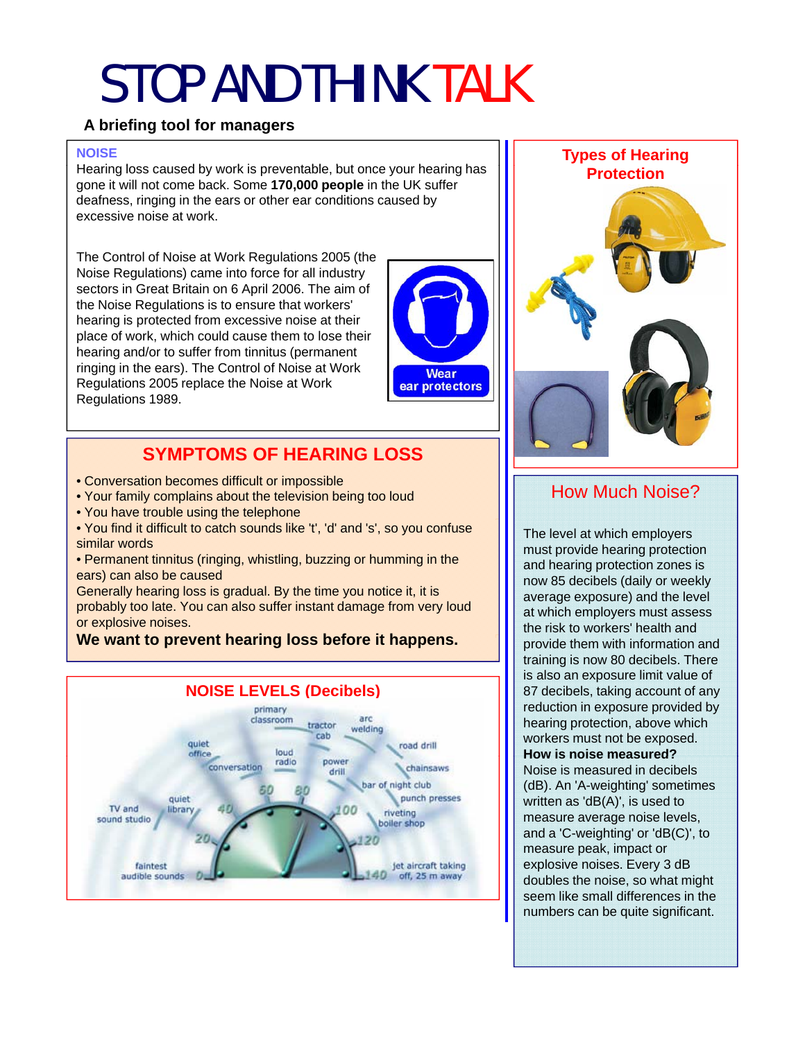## STOP AND THINK TALK

#### **A briefing tool for managers**

#### **NOISE**

Hearing loss caused by work is preventable, but once your hearing has gone it will not come back. Some **170,000 people** in the UK suffer deafness, ringing in the ears or other ear conditions caused by excessive noise at work.

The Control of Noise at Work Regulations 2005 (the Noise Regulations) came into force for all industry sectors in Great Britain on 6 April 2006. The aim of the Noise Regulations is to ensure that workers' hearing is protected from excessive noise at their place of work, which could cause them to lose their hearing and/or to suffer from tinnitus (permanent ringing in the ears). The Control of Noise at Work Regulations 2005 replace the Noise at Work Regulations 1989 Regulations 1989.



## **SYMPTOMS OF HEARING LOSS**

- Conversation becomes difficult or impossible
- Your family complains about the television being too loud
- You have trouble using the telephone
- You find it difficult to catch sounds like 't', 'd' and 's', so you confuse similar words

• Permanent tinnitus (ringing, whistling, buzzing or humming in the ears) can also be caused

Generally hearing loss is gradual. By the time you notice it, it is probably too late. You can also suffer instant damage from very loud or explosive noises.

### **We want to prevent hearing loss before it happens.**  $\| \cdot \|$  **provide them with information and**





### How Much Noise?

The level at which employers must provide hearing protection and hearing protection zones is now 85 decibels (daily or weekly average exposure) and the level at which employers must assess the risk to workers' health and training is now 80 decibels. There is also an exposure limit value of 87 decibels, taking account of any reduction in exposure provided by hearing protection, above which workers must not be exposed. **How is noise measured? How is noise** Noise is measured in decibels (dB). An 'A-weighting' sometimes written as 'dB(A)', is used to measure average noise levels, and a 'C-weighting' or 'dB(C)', to measure peak, impact or explosive noises. Every 3 dB doubles the noise, so what might seem like small differences in the numbers can be quite significant.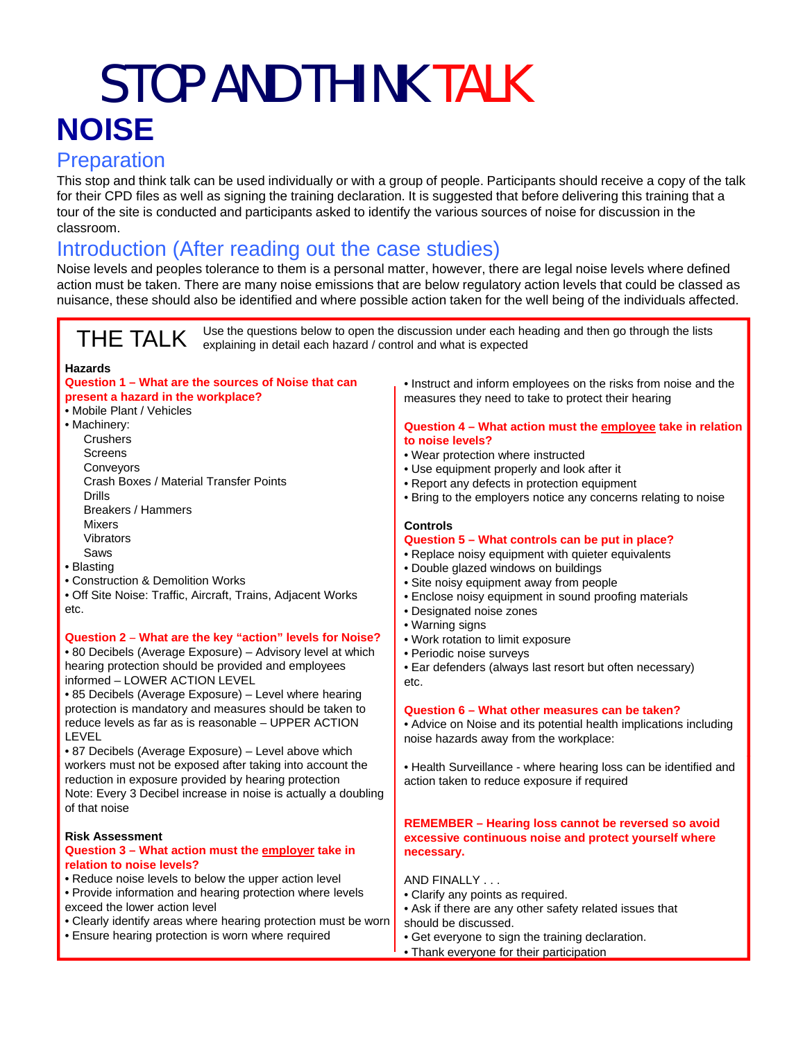## STOP AND THINK TALK **NOISE**

## **Preparation**

This stop and think talk can be used individually or with a group of people. Participants should receive a copy of the talk for their CPD files as well as signing the training declaration. It is suggested that before delivering this training that a tour of the site is conducted and participants asked to identify the various sources of noise for discussion in the classroom.

## Introduction (After reading out the case studies)

Noise levels and peoples tolerance to them is a personal matter, however, there are legal noise levels where defined action must be taken. There are many noise emissions that are below regulatory action levels that could be classed as nuisance, these should also be identified and where possible action taken for the well being of the individuals affected.

THE TALK Use the questions below to open the discussion under each heading and then go through the lists explaining in detail each hazard / control and what is expected

#### **Hazards**

#### **Question 1 – What are the sources of Noise that can present a hazard in the workplace? present a hazard in the workplace?** The section of the measures they need to take to protect their hearing

- Mobile Plant / Vehicles
- Machinery: **Crushers** 
	- **Screens** Conveyors Crash Boxes / Material Transfer Points Drills Breakers / Hammers Mi Mixers Vibrators Saws
- Blasting
- Construction & Demolition Works
- Off Site Noise: Traffic, Aircraft, Trains, Adjacent Works etc.

#### **Question 2 What are the key "action" levels for Noise? Question – What are the action levels for** • Work rotation to limit exposure

• 80 Decibels (Average Exposure) – Advisory level at which hearing protection should be provided and employees informed – LOWER ACTION LEVEL

• 85 Decibels (Average Exposure) – Level where hearing protection is mandatory and measures should be taken to reduce levels as far as is reasonable – UPPER ACTION LEVEL

• 87 Decibels (Average Exposure) - Level above which workers must not be exposed after taking into account the reduction in exposure provided by hearing protection Note: Every 3 Decibel increase in noise is actually a doubling of that noise

#### **Risk Assessment**

#### **Question 3 – What action must the employer take in relation to noise levels?**

- Reduce noise levels to below the upper action level
- Provide information and hearing protection where levels exceed the lower action level
- Clearly identify areas where hearing protection must be worn
- Ensure hearing protection is worn where required

• Instruct and inform employees on the risks from noise and the

#### **Question 4 – What action must the employee take in relation to noise levels?**

- Wear protection where instructed
- Use equipment properly and look after it
- Report any defects in protection equipment
- Bring to the employers notice any concerns relating to noise

#### **Controls**

#### **Question 5 – What controls can be put in place?**

- Replace noisy equipment with quieter equivalents
- Double glazed windows on buildings
- Site noisy equipment away from people
- Enclose noisy equipment in sound proofing materials
- Designated noise zones
- Warning signs
- Work rotation to limit exposure<br>• Periodic noise surveys
- 
- Ear defenders (always last resort but often necessary) etc.

#### **Question 6 – What other measures can be taken?**

• Advice on Noise and its potential health implications including noise hazards away from the workplace:

• Health Surveillance - where hearing loss can be identified and action taken to reduce exposure if required

#### **REMEMBER – Hearing loss cannot be reversed so avoid excessive continuous noise and protect yourself where necessary.**

AND FINALLY . . .

- Clarify any points as required.
- Ask if there are any other safety related issues that should be discussed.
- Get everyone to sign the training declaration.
- Thank everyone for their participation